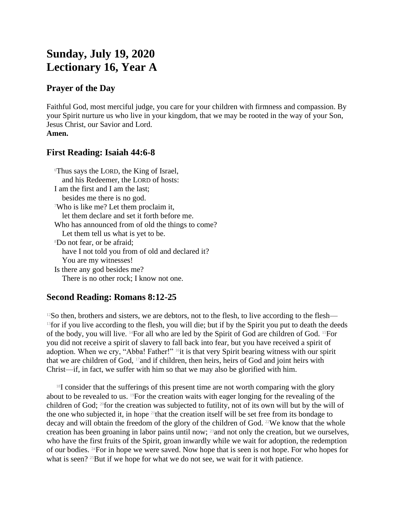# **Sunday, July 19, 2020 Lectionary 16, Year A**

#### **Prayer of the Day**

Faithful God, most merciful judge, you care for your children with firmness and compassion. By your Spirit nurture us who live in your kingdom, that we may be rooted in the way of your Son, Jesus Christ, our Savior and Lord. **Amen.**

### **First Reading: Isaiah 44:6-8**

<sup>6</sup>Thus says the LORD, the King of Israel, and his Redeemer, the LORD of hosts: I am the first and I am the last; besides me there is no god. <sup>7</sup>Who is like me? Let them proclaim it, let them declare and set it forth before me. Who has announced from of old the things to come? Let them tell us what is yet to be. <sup>8</sup>Do not fear, or be afraid; have I not told you from of old and declared it? You are my witnesses! Is there any god besides me? There is no other rock; I know not one.

## **Second Reading: Romans 8:12-25**

 $12$ So then, brothers and sisters, we are debtors, not to the flesh, to live according to the flesh— <sup>13</sup> for if you live according to the flesh, you will die; but if by the Spirit you put to death the deeds of the body, you will live. 14For all who are led by the Spirit of God are children of God. 15For you did not receive a spirit of slavery to fall back into fear, but you have received a spirit of adoption. When we cry, "Abba! Father!" <sup>16</sup>it is that very Spirit bearing witness with our spirit that we are children of God, 17and if children, then heirs, heirs of God and joint heirs with Christ—if, in fact, we suffer with him so that we may also be glorified with him.

 $18I$  consider that the sufferings of this present time are not worth comparing with the glory about to be revealed to us. 19For the creation waits with eager longing for the revealing of the children of God; 20for the creation was subjected to futility, not of its own will but by the will of the one who subjected it, in hope  $21$  that the creation itself will be set free from its bondage to decay and will obtain the freedom of the glory of the children of God. <sup>22</sup>We know that the whole creation has been groaning in labor pains until now; 23and not only the creation, but we ourselves, who have the first fruits of the Spirit, groan inwardly while we wait for adoption, the redemption of our bodies. 24For in hope we were saved. Now hope that is seen is not hope. For who hopes for what is seen? <sup>25</sup>But if we hope for what we do not see, we wait for it with patience.